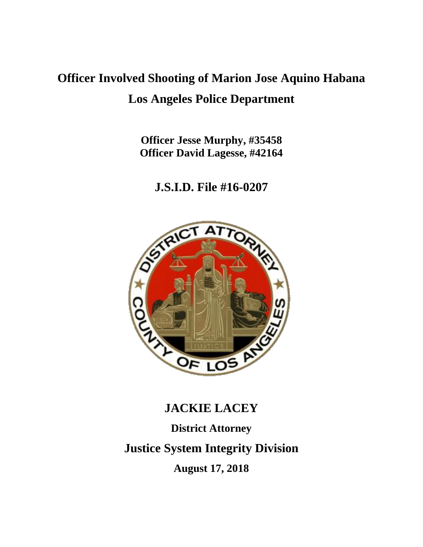# **Officer Involved Shooting of Marion Jose Aquino Habana Los Angeles Police Department**

**Officer Jesse Murphy, #35458 Officer David Lagesse, #42164**

**J.S.I.D. File #16-0207**



# **JACKIE LACEY District Attorney Justice System Integrity Division August 17, 2018**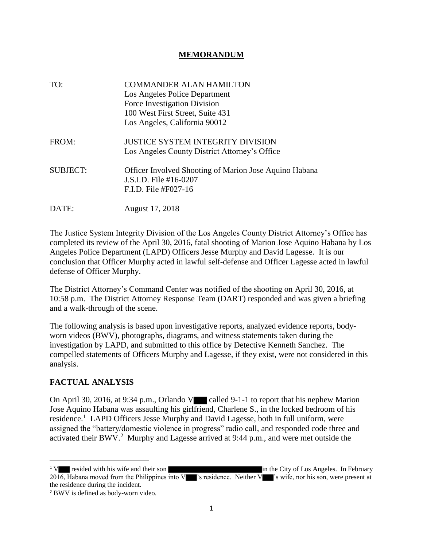### **MEMORANDUM**

TO: **COMMANDER ALAN HAMILTON** Los Angeles Police Department Force Investigation Division 100 West First Street, Suite 431 Los Angeles, California 90012 FROM: **JUSTICE SYSTEM INTEGRITY DIVISION** Los Angeles County District Attorney's Office SUBJECT: Officer Involved Shooting of Marion Jose Aquino Habana J.S.I.D. File #16-0207 F.I.D. File #F027-16 DATE: August 17, 2018

The Justice System Integrity Division of the Los Angeles County District Attorney's Office has completed its review of the April 30, 2016, fatal shooting of Marion Jose Aquino Habana by Los Angeles Police Department (LAPD) Officers Jesse Murphy and David Lagesse. It is our conclusion that Officer Murphy acted in lawful self-defense and Officer Lagesse acted in lawful defense of Officer Murphy.

The District Attorney's Command Center was notified of the shooting on April 30, 2016, at 10:58 p.m. The District Attorney Response Team (DART) responded and was given a briefing and a walk-through of the scene.

The following analysis is based upon investigative reports, analyzed evidence reports, bodyworn videos (BWV), photographs, diagrams, and witness statements taken during the investigation by LAPD, and submitted to this office by Detective Kenneth Sanchez. The compelled statements of Officers Murphy and Lagesse, if they exist, were not considered in this analysis.

# **FACTUAL ANALYSIS**

On April 30, 2016, at 9:34 p.m., Orlando V called 9-1-1 to report that his nephew Marion Jose Aquino Habana was assaulting his girlfriend, Charlene S., in the locked bedroom of his residence.<sup>1</sup> LAPD Officers Jesse Murphy and David Lagesse, both in full uniform, were assigned the "battery/domestic violence in progress" radio call, and responded code three and activated their BWV.<sup>2</sup> Murphy and Lagesse arrived at 9:44 p.m., and were met outside the

<sup>&</sup>lt;sup>1</sup> V resided with his wife and their son in the City of Los Angeles. In February 2016, Habana moved from the Philippines into V  $\blacksquare$ 's residence. Neither V  $\blacksquare$ 's wife, nor his son, were present at the residence during the incident.

<sup>2</sup> BWV is defined as body-worn video.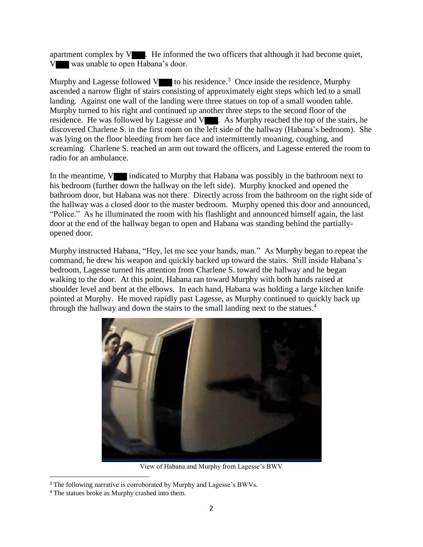apartment complex by  $V$ . He informed the two officers that although it had become quiet, V was unable to open Habana's door.

Murphy and Lagesse followed  $V$  to his residence.<sup>3</sup> Once inside the residence, Murphy ascended a narrow flight of stairs consisting of approximately eight steps which led to a small landing. Against one wall of the landing were three statues on top of a small wooden table. Murphy turned to his right and continued up another three steps to the second floor of the residence. He was followed by Lagesse and V . As Murphy reached the top of the stairs, he discovered Charlene S. in the first room on the left side of the hallway (Habana's bedroom). She was lying on the floor bleeding from her face and intermittently moaning, coughing, and screaming. Charlene S. reached an arm out toward the officers, and Lagesse entered the room to radio for an ambulance.

In the meantime, V indicated to Murphy that Habana was possibly in the bathroom next to his bedroom (further down the hallway on the left side). Murphy knocked and opened the bathroom door, but Habana was not there. Directly across from the bathroom on the right side of the hallway was a closed door to the master bedroom. Murphy opened this door and announced, "Police." As he illuminated the room with his flashlight and announced himself again, the last door at the end of the hallway began to open and Habana was standing behind the partiallyopened door.

Murphy instructed Habana, "Hey, let me see your hands, man." As Murphy began to repeat the command, he drew his weapon and quickly backed up toward the stairs. Still inside Habana's bedroom, Lagesse turned his attention from Charlene S. toward the hallway and he began walking to the door. At this point, Habana ran toward Murphy with both hands raised at shoulder level and bent at the elbows. In each hand, Habana was holding a large kitchen knife pointed at Murphy. He moved rapidly past Lagesse, as Murphy continued to quickly back up through the hallway and down the stairs to the small landing next to the statues.<sup>4</sup>



View of Habana and Murphy from Lagesse's BWV

<sup>&</sup>lt;sup>3</sup> The following narrative is corroborated by Murphy and Lagesse's BWVs.

<sup>4</sup> The statues broke as Murphy crashed into them.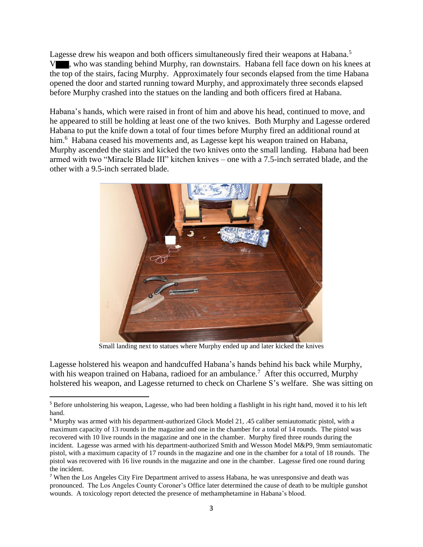Lagesse drew his weapon and both officers simultaneously fired their weapons at Habana.<sup>5</sup> V , who was standing behind Murphy, ran downstairs. Habana fell face down on his knees at the top of the stairs, facing Murphy. Approximately four seconds elapsed from the time Habana opened the door and started running toward Murphy, and approximately three seconds elapsed before Murphy crashed into the statues on the landing and both officers fired at Habana.

Habana's hands, which were raised in front of him and above his head, continued to move, and he appeared to still be holding at least one of the two knives. Both Murphy and Lagesse ordered Habana to put the knife down a total of four times before Murphy fired an additional round at him.<sup>6</sup> Habana ceased his movements and, as Lagesse kept his weapon trained on Habana, Murphy ascended the stairs and kicked the two knives onto the small landing. Habana had been armed with two "Miracle Blade III" kitchen knives – one with a 7.5-inch serrated blade, and the other with a 9.5-inch serrated blade.



Small landing next to statues where Murphy ended up and later kicked the knives

Lagesse holstered his weapon and handcuffed Habana's hands behind his back while Murphy, with his weapon trained on Habana, radioed for an ambulance.<sup>7</sup> After this occurred, Murphy holstered his weapon, and Lagesse returned to check on Charlene S's welfare. She was sitting on

<sup>5</sup> Before unholstering his weapon, Lagesse, who had been holding a flashlight in his right hand, moved it to his left hand.

<sup>6</sup> Murphy was armed with his department-authorized Glock Model 21, .45 caliber semiautomatic pistol, with a maximum capacity of 13 rounds in the magazine and one in the chamber for a total of 14 rounds. The pistol was recovered with 10 live rounds in the magazine and one in the chamber. Murphy fired three rounds during the incident. Lagesse was armed with his department-authorized Smith and Wesson Model M&P9, 9mm semiautomatic pistol, with a maximum capacity of 17 rounds in the magazine and one in the chamber for a total of 18 rounds. The pistol was recovered with 16 live rounds in the magazine and one in the chamber. Lagesse fired one round during the incident.

<sup>7</sup> When the Los Angeles City Fire Department arrived to assess Habana, he was unresponsive and death was pronounced. The Los Angeles County Coroner's Office later determined the cause of death to be multiple gunshot wounds. A toxicology report detected the presence of methamphetamine in Habana's blood.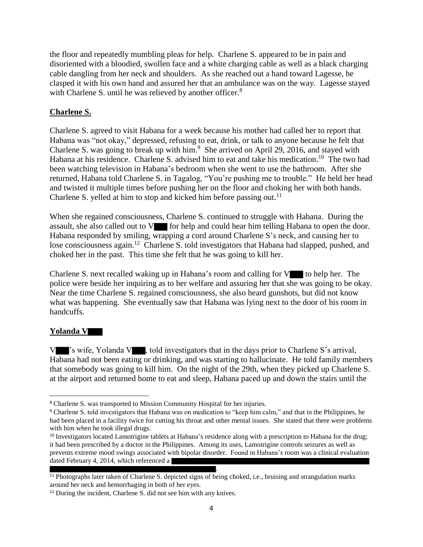the floor and repeatedly mumbling pleas for help. Charlene S. appeared to be in pain and disoriented with a bloodied, swollen face and a white charging cable as well as a black charging cable dangling from her neck and shoulders. As she reached out a hand toward Lagesse, he clasped it with his own hand and assured her that an ambulance was on the way. Lagesse stayed with Charlene S. until he was relieved by another officer.<sup>8</sup>

# **Charlene S.**

Charlene S. agreed to visit Habana for a week because his mother had called her to report that Habana was "not okay," depressed, refusing to eat, drink, or talk to anyone because he felt that Charlene S. was going to break up with him.<sup>9</sup> She arrived on April 29, 2016, and stayed with Habana at his residence. Charlene S. advised him to eat and take his medication.<sup>10</sup> The two had been watching television in Habana's bedroom when she went to use the bathroom. After she returned, Habana told Charlene S. in Tagalog, "You're pushing me to trouble." He held her head and twisted it multiple times before pushing her on the floor and choking her with both hands. Charlene S. yelled at him to stop and kicked him before passing out.<sup>11</sup>

When she regained consciousness, Charlene S. continued to struggle with Habana. During the assault, she also called out to  $V$  for help and could hear him telling Habana to open the door. Habana responded by smiling, wrapping a cord around Charlene S's neck, and causing her to lose consciousness again.<sup>12</sup> Charlene S. told investigators that Habana had slapped, pushed, and choked her in the past. This time she felt that he was going to kill her.

Charlene S. next recalled waking up in Habana's room and calling for  $V$  to help her. The police were beside her inquiring as to her welfare and assuring her that she was going to be okay. Near the time Charlene S. regained consciousness, she also heard gunshots, but did not know what was happening. She eventually saw that Habana was lying next to the door of his room in handcuffs.

# **Yolanda V**

 $\overline{\phantom{a}}$ 

V 's wife, Yolanda V , told investigators that in the days prior to Charlene S's arrival, Habana had not been eating or drinking, and was starting to hallucinate. He told family members that somebody was going to kill him. On the night of the 29th, when they picked up Charlene S. at the airport and returned home to eat and sleep, Habana paced up and down the stairs until the

<sup>8</sup> Charlene S. was transported to Mission Community Hospital for her injuries.

<sup>9</sup> Charlene S. told investigators that Habana was on medication to "keep him calm," and that in the Philippines, he had been placed in a facility twice for cutting his throat and other mental issues. She stated that there were problems with him when he took illegal drugs.

<sup>&</sup>lt;sup>10</sup> Investigators located Lamotrigine tablets at Habana's residence along with a prescription to Habana for the drug; it had been prescribed by a doctor in the Philippines. Among its uses, Lamotrigine controls seizures as well as prevents extreme mood swings associated with bipolar disorder. Found in Habana's room was a clinical evaluation dated February 4, 2014, which referenced a .

<sup>&</sup>lt;sup>11</sup> Photographs later taken of Charlene S. depicted signs of being choked, i.e., bruising and strangulation marks around her neck and hemorrhaging in both of her eyes.

<sup>&</sup>lt;sup>12</sup> During the incident, Charlene S. did not see him with any knives.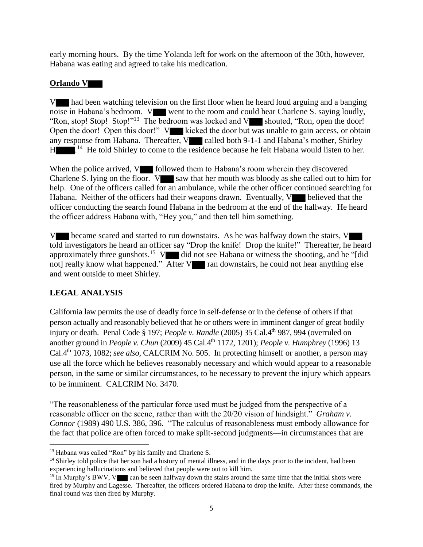early morning hours. By the time Yolanda left for work on the afternoon of the 30th, however, Habana was eating and agreed to take his medication.

### **Orlando V**

V had been watching television on the first floor when he heard loud arguing and a banging noise in Habana's bedroom. V went to the room and could hear Charlene S. saying loudly, "Ron, stop! Stop! Stop!"<sup>13</sup> The bedroom was locked and  $V$  shouted, "Ron, open the door!" Open the door! Open this door!" V kicked the door but was unable to gain access, or obtain any response from Habana. Thereafter,  $V$  called both 9-1-1 and Habana's mother, Shirley H<sub>14</sub>.<sup>14</sup> He told Shirley to come to the residence because he felt Habana would listen to her.

When the police arrived,  $V$  followed them to Habana's room wherein they discovered Charlene S. lying on the floor.  $V$  saw that her mouth was bloody as she called out to him for help. One of the officers called for an ambulance, while the other officer continued searching for Habana. Neither of the officers had their weapons drawn. Eventually, V believed that the officer conducting the search found Habana in the bedroom at the end of the hallway. He heard the officer address Habana with, "Hey you," and then tell him something.

V became scared and started to run downstairs. As he was halfway down the stairs, V told investigators he heard an officer say "Drop the knife! Drop the knife!" Thereafter, he heard approximately three gunshots.<sup>15</sup> V did not see Habana or witness the shooting, and he "[did not] really know what happened." After V ran downstairs, he could not hear anything else and went outside to meet Shirley.

# **LEGAL ANALYSIS**

 $\overline{\phantom{a}}$ 

California law permits the use of deadly force in self-defense or in the defense of others if that person actually and reasonably believed that he or others were in imminent danger of great bodily injury or death. Penal Code § 197; *People v. Randle* (2005) 35 Cal.4th 987, 994 (overruled on another ground in *People v. Chun* (2009) 45 Cal.4th 1172, 1201); *People v. Humphrey* (1996) 13 Cal.4th 1073, 1082; *see also,* CALCRIM No. 505. In protecting himself or another, a person may use all the force which he believes reasonably necessary and which would appear to a reasonable person, in the same or similar circumstances, to be necessary to prevent the injury which appears to be imminent. CALCRIM No. 3470.

"The reasonableness of the particular force used must be judged from the perspective of a reasonable officer on the scene, rather than with the 20/20 vision of hindsight." *Graham v. Connor* (1989) 490 U.S. 386, 396. "The calculus of reasonableness must embody allowance for the fact that police are often forced to make split-second judgments—in circumstances that are

<sup>13</sup> Habana was called "Ron" by his family and Charlene S.

<sup>&</sup>lt;sup>14</sup> Shirley told police that her son had a history of mental illness, and in the days prior to the incident, had been experiencing hallucinations and believed that people were out to kill him.

<sup>&</sup>lt;sup>15</sup> In Murphy's BWV, V can be seen halfway down the stairs around the same time that the initial shots were fired by Murphy and Lagesse. Thereafter, the officers ordered Habana to drop the knife. After these commands, the final round was then fired by Murphy.